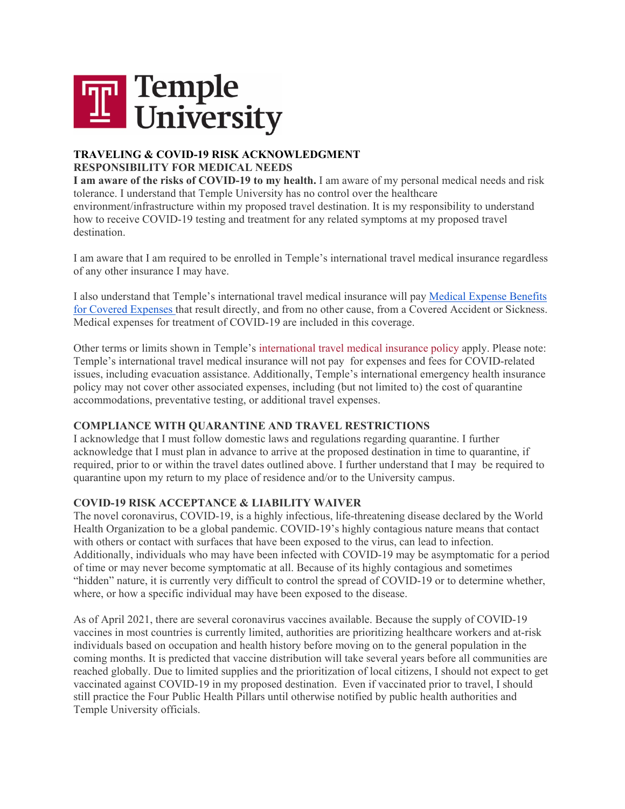

## **TRAVELING & COVID-19 RISK ACKNOWLEDGMENT RESPONSIBILITY FOR MEDICAL NEEDS**

**I am aware of the risks of COVID-19 to my health.** I am aware of my personal medical needs and risk tolerance. I understand that Temple University has no control over the healthcare environment/infrastructure within my proposed travel destination. It is my responsibility to understand how to receive COVID-19 testing and treatment for any related symptoms at my proposed travel destination.

I am aware that I am required to be enrolled in Temple's international travel medical insurance regardless of any other insurance I may have.

I also understand that Temple's international travel medical insurance will pay [Medical Expense Benefits](https://finance.temple.edu/travel-resources/international-travel/international-sos)  [for Covered Expenses](https://finance.temple.edu/travel-resources/international-travel/international-sos) that result directly, and from no other cause, from a Covered Accident or Sickness. Medical expenses for treatment of COVID-19 are included in this coverage.

Other terms or limits shown in Temple's [international travel medical insurance policy](https://finance.temple.edu/travel-resources/international-travel/international-sos) apply. Please note: Temple's international travel medical insurance will not pay for expenses and fees for COVID-related issues, including evacuation assistance. Additionally, Temple's international emergency health insurance policy may not cover other associated expenses, including (but not limited to) the cost of quarantine accommodations, preventative testing, or additional travel expenses.

## **COMPLIANCE WITH QUARANTINE AND TRAVEL RESTRICTIONS**

I acknowledge that I must follow domestic laws and regulations regarding quarantine. I further acknowledge that I must plan in advance to arrive at the proposed destination in time to quarantine, if required, prior to or within the travel dates outlined above. I further understand that I may be required to quarantine upon my return to my place of residence and/or to the University campus.

## **COVID-19 RISK ACCEPTANCE & LIABILITY WAIVER**

The novel coronavirus, COVID-19, is a highly infectious, life-threatening disease declared by the World Health Organization to be a global pandemic. COVID-19's highly contagious nature means that contact with others or contact with surfaces that have been exposed to the virus, can lead to infection. Additionally, individuals who may have been infected with COVID-19 may be asymptomatic for a period of time or may never become symptomatic at all. Because of its highly contagious and sometimes "hidden" nature, it is currently very difficult to control the spread of COVID-19 or to determine whether, where, or how a specific individual may have been exposed to the disease.

As of April 2021, there are several coronavirus vaccines available. Because the supply of COVID-19 vaccines in most countries is currently limited, authorities are prioritizing healthcare workers and at-risk individuals based on occupation and health history before moving on to the general population in the coming months. It is predicted that vaccine distribution will take several years before all communities are reached globally. Due to limited supplies and the prioritization of local citizens, I should not expect to get vaccinated against COVID-19 in my proposed destination. Even if vaccinated prior to travel, I should still practice the Four Public Health Pillars until otherwise notified by public health authorities and Temple University officials.